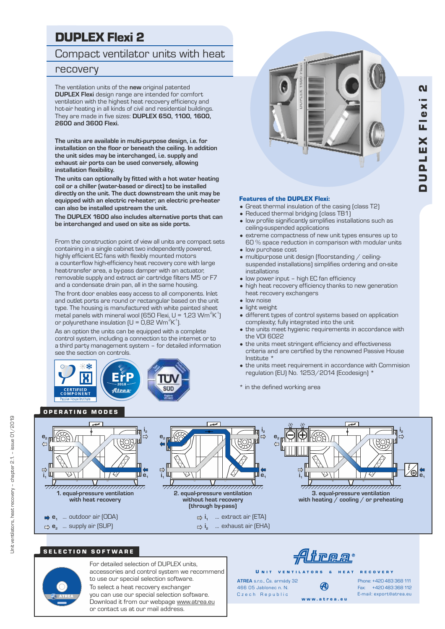# DUPLEX Flexi 2

# Compact ventilator units with heat

## recovery

The ventilation units of the **new** original patented **DUPLEX Flexi** design range are intended for comfort ventilation with the highest heat recovery efficiency and hot-air heating in all kinds of civil and residential buildings. They are made in five sizes: **DUPLEX 650, 1100, 1600, 2600 and 3600 Flexi.**

**The units are available in multi-purpose design, i.e. for installation on the floor or beneath the ceiling. In addition the unit sides may be interchanged, i.e. supply and exhaust air ports can be used conversely, allowing installation flexibility.**

**The units can optionally by fitted with a hot water heating coil or a chiller (water-based or direct) to be installed directly on the unit. The duct downstream the unit may be equipped with an electric re-heater; an electric pre-heater can also be installed upstream the unit.**

**The DUPLEX 1600 also includes alternative ports that can be interchanged and used on site as side ports.**

From the construction point of view all units are compact sets containing in a single cabinet two independently powered, highly efficient EC fans with flexibly mounted motors a counterflow high-efficiency heat recovery core with large heat-transfer area, a by-pass damper with an actuator, removable supply and extract air cartridge filters M5 or F7 and a condensate drain pan, all in the same housing. The front door enables easy access to all components. Inlet and outlet ports are round or rectangular based on the unit type. The housing is manufactured with white painted sheet metal panels with mineral wool (650 Flexi, U = 1,23 Wm<sup>2</sup>K<sup>-1</sup>) or polyurethane insulation (U = 0,82  $\textsf{Wm}^2\textsf{K}^1$ ).

As an option the units can be equipped with a complete control system, including a connection to the internet or to a third party management system – for detailed information see the section on controls.





#### Features of the DUPLEX Flexi:

- Great thermal insulation of the casing (class T2)
- Reduced thermal bridging (class TB1)
- low profile significantly simplifies installations such as ceiling-suspended applications
- extreme compactness of new unit types ensures up to 60 % space reduction in comparison with modular units • low purchase cost
- 
- multipurpose unit design (floorstanding / ceilingsuspended installations) simplifies ordering and on-site installations
- low power input high EC fan efficiency
- high heat recovery efficiency thanks to new generation heat recovery exchangers
- low noise
- light weight
- different types of control systems based on application complexity; fully integrated into the unit
- the units meet hygienic requirements in accordance with the VDI 6022
- the units meet stringent efficiency and effectiveness criteria and are certified by the renowned Passive House Institute \*
- the units meet requirement in accordance with Commision regulation (EU) No. 1253/2014 (Ecodesign) \*
- \* in the defined working area

# OPERATING MODES



## SELECTION SOFTWARE



For detailed selection of DUPLEX units, accessories and control system we recommend to use our special selection software. To select a heat recovery exchanger

you can use our special selection software. Download it from our webpage www.atrea.eu or contact us at our mail address.

<u>Atrea:</u> U N IT VENTILATORS & HEAT RECOVERY

w w w . a t r e a . e u

466 05 Jablonec n. N. Czech Republic **ATREA** s.r.o., Čs. armády 32

Fax: +420 483 368 112 Phone: +420 483 368 111 E-mail: export@atrea.eu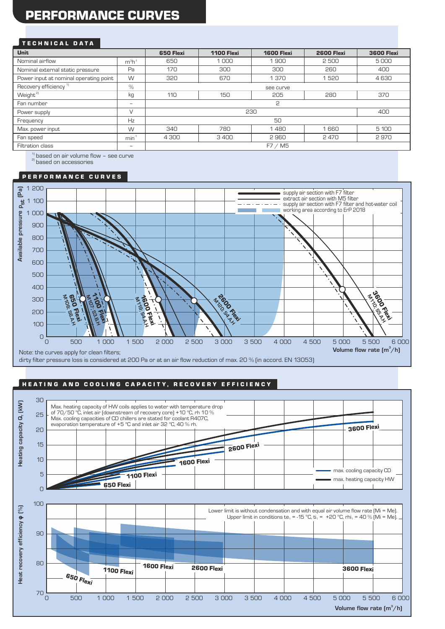# PERFORMANCE CURVES

#### TECHNICAL DATA

| <b>Unit</b>                                 | 650 Flexi | <b>1100 Flexi</b> | 1600 Flexi | 2600 Flexi | <b>3600 Flexi</b> |       |  |
|---------------------------------------------|-----------|-------------------|------------|------------|-------------------|-------|--|
| Nominal airflow                             | $m^3h^1$  | 650               | 1000       | 1900       | 2500              | 5000  |  |
| Nominal external static pressure            | Pa        | 170               | 300        | 300        | 260               | 400   |  |
| W<br>Power input at nominal operating point |           | 320               | 670        | 1370       | 1520              | 4630  |  |
| Recovery efficiency <sup>11</sup>           | $\%$      | see curve         |            |            |                   |       |  |
| Weight <sup>2]</sup><br>kg                  |           | 110               | 150<br>205 |            | 280               | 370   |  |
| Fan number                                  | -         | 2                 |            |            |                   |       |  |
| Power supply                                |           | 230<br>400        |            |            |                   |       |  |
| Frequency                                   | Hz        | 50                |            |            |                   |       |  |
| Max. power input                            | W         | 340               | 780        | 1480       | 1660              | 5 100 |  |
| Fan speed                                   | $min-1$   | 4 300             | 3400       | 2960       | 2470              | 2970  |  |
| Filtration class                            | -         | F7 / M5           |            |            |                   |       |  |

 $1)$  based on air volume flow - see curve

<sup>2)</sup> based on accessories

#### PERFORMANCE CURVES



### HEATING AND COOLING CAPACITY, RECOVERY EFFICIENCY

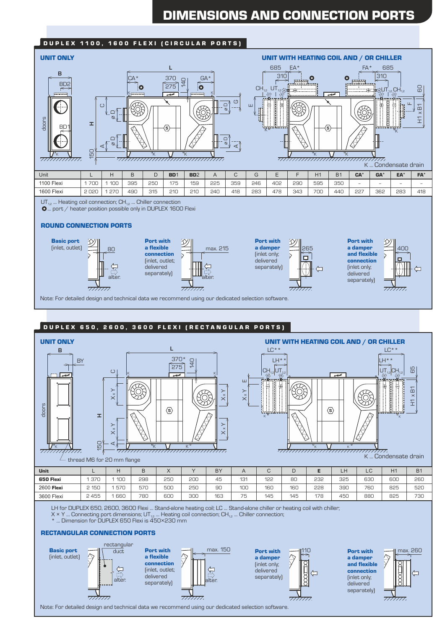# DIMENSIONS AND CONNECTION PORTS

#### DUPLEX 1100, 1600 FLEXI (CIRCULAR PORTS)







- thread M6 for 20 mm flange

| <b>Unit</b>       |       |     | D   |     |     | <b>BY</b> | $\overline{\phantom{a}}$ | ٮ   |     |     | LΗ  | $\sim$<br>└ | H1  | B <sub>1</sub> |
|-------------------|-------|-----|-----|-----|-----|-----------|--------------------------|-----|-----|-----|-----|-------------|-----|----------------|
| 650 Flexi         | 370   | 100 | 298 | 250 | 200 | 45        | 131                      | 122 | 80  | 232 | 325 | 630         | 600 | 260            |
| 2600 <b>Flexi</b> | ! 150 | 570 | 570 | 500 | 250 | 90        | 100                      | 160 | 160 | 228 | 390 | 760         | 825 | 520            |
| 3600 Flexi        | 2455  | 660 | 780 | 600 | 300 | 163       | フロ<br>ں ،                | 145 | 145 | 178 | 450 | 880         | 825 | 730            |

 $\mathbf{\mu}$  $X \times Y$ 

LH for DUPLEX 650, 2600, 3600 Flexi ... Stand-alone heating coil; LC ... Stand-alone chiller or heating coil with chiller;

X × Y ... Connecting port dimensions; UT,<sub>2</sub> ... Heating coil connection; CH,<sub>2</sub> ... Chiller connection;<br>\* ... Dimension for DUPLEX 650 Flexi is 450×230 mm

#### RECTANGULAR CONNECTION PORTS

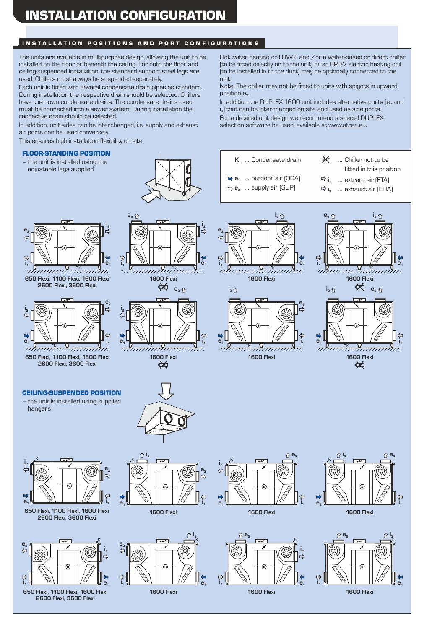# INSTALLATION POSITIONS AND PORT CONFIGURATIONS

The units are available in multipurpose design, allowing the unit to be installed on the floor or beneath the ceiling. For both the floor and ceiling-suspended installation, the standard support steel legs are used. Chillers must always be suspended separately.

Each unit is fitted with several condensate drain pipes as standard. During installation the respective drain should be selected. Chillers have their own condensate drains. The condensate drains used must be connected into a sewer system. During installation the respective drain should be selected.

In addition, unit sides can be interchanged, i.e. supply and exhaust air ports can be used conversely.

This ensures high installation flexibility on site.

### FLOOR-STANDING POSITION

– the unit is installed using the adjustable legs supplied



Hot water heating coil HW.2 and /or a water-based or direct chiller (to be fitted directly on to the unit) or an EPO-V electric heating coil (to be installed in to the duct) may be optionally connected to the unit.

Note: The chiller may not be fitted to units with spigots in upward position  $e_$ .

In addition the DUPLEX 1600 unit includes alternative ports  $(e_2$  and i<sub>2</sub>) that can be interchanged on site and used as side ports. For a detailed unit design we recommend a special DUPLEX selection software be used; available at www.atrea.eu.



**650 Flexi, 1100 Flexi, 1600 Flexi 1600 Flexi 1600 Flexi 1600 Flexi 2600 Flexi, 3600 Flexi**

hangers

 $\mathbf{i}_2$ 

**i1**

**e2**

**i1**

 $\overline{z}$ 

 $\mathbf{i}_2$ 

 $\overline{ }$ 

**e2**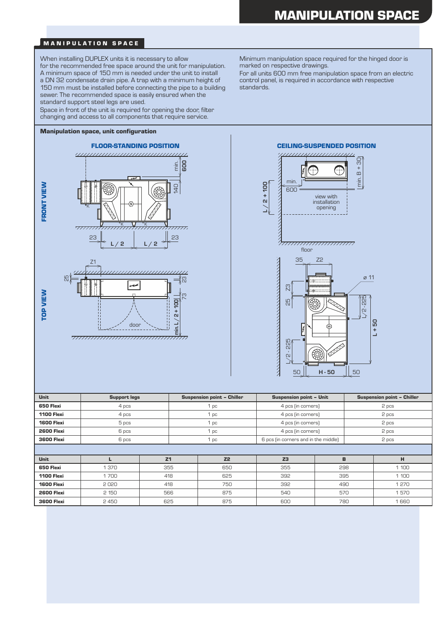#### **MANIPULATION SPACE**

When installing DUPLEX units it is necessary to allow for the recommended free space around the unit for manipulation. A minimum space of 150 mm is needed under the unit to install a DN 32 condensate drain pipe. A trap with a minimum height of 150 mm must be installed before connecting the pipe to a building sewer. The recommended space is easily ensured when the standard support steel legs are used.

Space in front of the unit is required for opening the door, filter changing and access to all components that require service.

#### Manipulation space, unit configuration



Minimum manipulation space required for the hinged door is marked on respective drawings.

For all units 600 mm free manipulation space from an electric control panel, is required in accordance with respective standards.



| <b>Unit</b>       | <b>Support legs</b> |                |     | <b>Suspension point - Chiller</b> | <b>Suspension point - Unit</b>       |     | <b>Suspension point - Chiller</b> |       |  |
|-------------------|---------------------|----------------|-----|-----------------------------------|--------------------------------------|-----|-----------------------------------|-------|--|
| 650 Flexi         | 4 pcs               |                |     | рc                                | 4 pcs (in corners)                   |     | 2 pcs                             |       |  |
| <b>1100 Flexi</b> | 4 pcs               |                |     | 1 pc                              | 4 pcs (in corners)                   |     | 2 pcs                             |       |  |
| 1600 Flexi        | 5 pcs               |                |     | 1 pc                              | 4 pcs (in corners)                   |     | 2 pcs                             |       |  |
| <b>2600 Flexi</b> | 6 pcs               |                |     | 1 pc                              | 4 pcs (in corners)                   |     | 2 pcs                             |       |  |
| <b>3600 Flexi</b> | 6 pcs               |                |     | pc                                | 6 pcs (in corners and in the middle) |     | 2 pcs                             |       |  |
|                   |                     |                |     |                                   |                                      |     |                                   |       |  |
| <b>Unit</b>       |                     | Z <sub>1</sub> |     | <b>Z2</b>                         | Z3                                   | B   |                                   | н     |  |
| 650 Flexi         | 1370                |                | 355 | 650                               | 355                                  | 298 |                                   | 1 100 |  |
| <b>1100 Flexi</b> | 1700                |                | 418 | 625                               | 392                                  | 395 |                                   | 1 100 |  |
| 1600 Flexi        | 2020                | 418            |     | 750                               | 392                                  | 490 |                                   | 1270  |  |
| <b>2600 Flexi</b> | 2 150               |                | 566 | 875                               | 540                                  | 570 |                                   | 1570  |  |
| <b>3600 Flexi</b> | 2450                |                | 625 | 875                               | 600                                  | 780 |                                   | 1660  |  |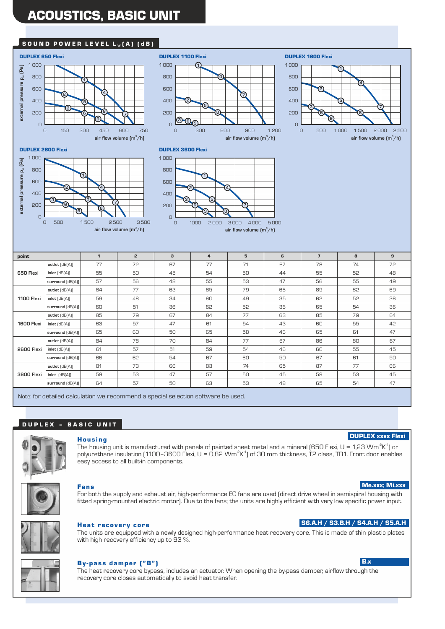# ACOUSTICS, BASIC UNIT

#### SOUND POWER LEVEL  $L_w(A)$  (dB)



Note: for detailed calculation we recommend a special selection software be used.

### D U P L E X - BASIC UNIT



#### **Housing**

The housing unit is manufactured with panels of painted sheet metal and a mineral (650 Flexi, U = 1,23 Wm<sup>2</sup>K<sup>1</sup>) or polyurethane insulation (1100–3600 Flexi, U = 0,82 Wm<sup>2</sup>K<sup>-1</sup>) of 30 mm thickness, T2 class, TB1. Front door enables easy access to all built-in components.



#### Fans

Me.xxx; Mi.xxx

**DUPLEX xxxx Flexi** 

For both the supply and exhaust air, high-performance EC fans are used (direct drive wheel in semispiral housing with fitted spring-mounted electric motor). Due to the fans; the units are highly efficient with very low specific power input.

### S6.A.H / S3.B.H / S4.A.H / S5.A.H

B.x

Heat recovery core The units are equipped with a newly designed high-performance heat recovery core. This is made of thin plastic plates with high recovery efficiency up to 93 %.



#### By -pass damper ( "B" )

The heat recovery core bypass, includes an actuator. When opening the by-pass damper, airflow through the recovery core closes automatically to avoid heat transfer.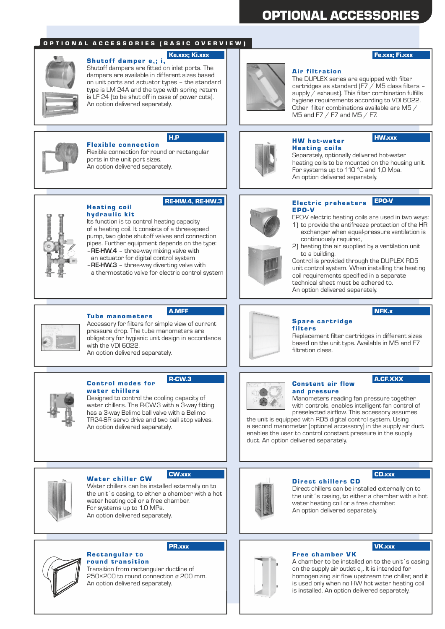### O P T I O N A L A C C E S S O R I E S ( B A S I C O V E R V I E W )



#### Ke.xxx; Ki.xxx **Fe.xxx; Fire.xxx** Fe.xxx; Fi.xxx

RE-HW.4, RE-HW.3

Shutoff damper  $e_{1}$ ; i. Shutoff dampers are fitted on inlet ports. The dampers are available in different sizes based on unit ports and actuator types – the standard type is LM 24A and the type with spring return is LF 24 (to be shut off in case of power cuts). An option delivered separately.



### **Air filtration**

**HW** hot-water

Heat ing coils

The DUPLEX series are equipped with filter cartridges as standard  $(F7 \n/ M5$  class filters supply  $\bar{\diagup}$  exhaust). This filter combination fulfills hygiene requirements according to VDI 6022. Other filter combinations available are M5 / M5 and F7 / F7 and M5 / F7.



#### **Flexible connection** H.P

Flexible connection for round or rectangular ports in the unit port sizes. An option delivered separately.

#### Heat ing coil hydraulic kit

Its function is to control heating capacity of a heating coil. It consists of a three-speed pump, two globe shutoff valves and connection pipes. Further equipment depends on the type: – **RE-HW.4** – three-way mixing valve with

- **RE-HW.3** three-way diverting valve with a thermostatic valve for electric control system an actuator for digital control system
- 

#### Electric preheaters EPO-V EPO-V

Separately, optionally delivered hot-water heating coils to be mounted on the housing unit. For systems up to 110 °C and 1,0 Mpa.

An option delivered separately.

- 1) to provide the antifreeze protection of the HR exchanger when equal-pressure ventilation is EPO-V electric heating coils are used in two ways:
- continuously required, 2) heating the air supplied by a ventilation unit to a building.

An option delivered separately. Control is provided through the DUPLEX RD5 unit control system. When installing the heating coil requirements specified in a separate technical sheet must be adhered to.

#### NFK.x

HW.xxx

#### Spare cartridge filters

Replacement filter cartridges in different sizes based on the unit type. Available in M5 and F7 filtration class.



# Constant air flow

and pressure Manometers reading fan pressure together

with controls, enables intelligent fan control of preselected airflow. This accessory assumes the unit is equipped with RD5 digital control system. Using

a second manometer (optional accessory) in the supply air duct enables the user to control constant pressure in the supply duct. An option delivered separately.

Fr ee chamber VK



#### CW.xxx **CD.xxx** Direct chillers CD

Direct chillers can be installed externally on to the unit´s casing, to either a chamber with a hot water heating coil or a free chamber. An option delivered separately.

#### VK.xxx



A chamber to be installed on to the unit 's casing on the supply air outlet  $e_2$ . It is intended for homogenizing air flow upstream the chiller, and it is used only when no HW hot water heating coil is installed. An option delivered separately.



#### A.MFF

An option delivered separately. **Tube manometers** Accessory for filters for simple view of current pressure drop. The tube manometers are obligatory for hygienic unit design in accordance with the VDI 6022.



#### er a control modes for the COM-CONSTRIBUTE Constant air flow that Constant  $\bf{C}$ R-CW.3

water chillers Designed to control the cooling capacity of water chillers. The R-CW.3 with a 3-way fitting has a 3-way Belimo ball valve with a Belimo TR24-SR servo drive and two ball stop valves. An option delivered separately.



# Water chiller CW

For systems up to 1.0 MPa. An option delivered separately. Water chillers can be installed externally on to the unit´s casing, to either a chamber with a hot water heating coil or a free chamber.

PR.xxx

#### **Rectangular to**

Transition from rectangular ductline of 250×200 to round connection ø 200 mm. round transition An option delivered separately.